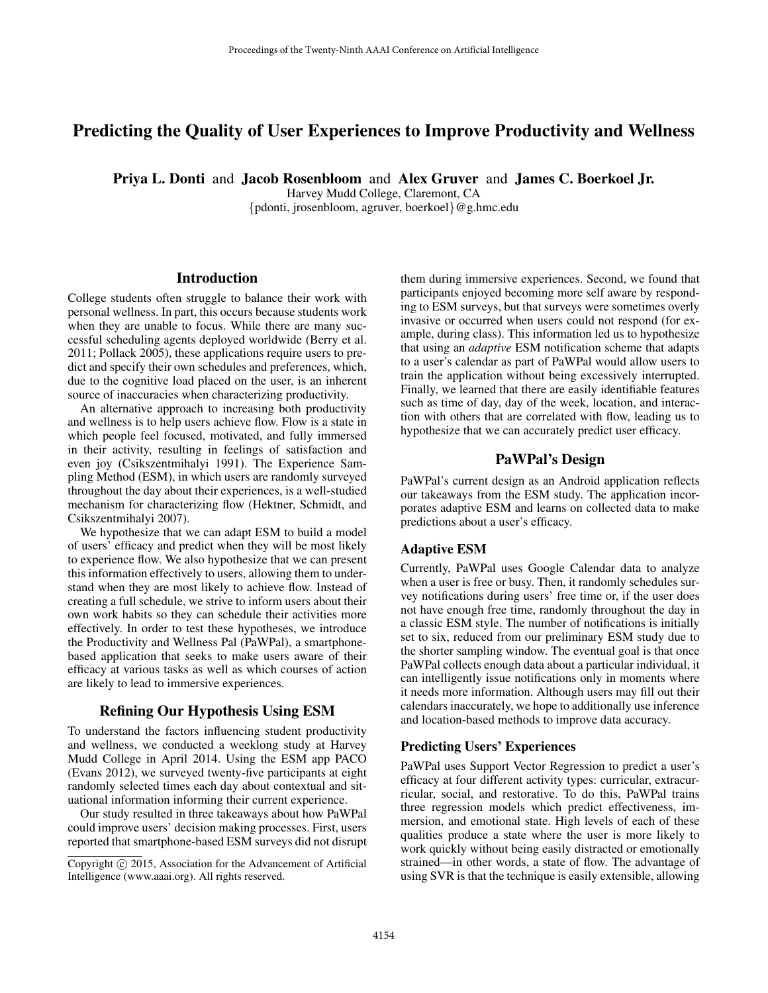# Predicting the Quality of User Experiences to Improve Productivity and Wellness

Priya L. Donti and Jacob Rosenbloom and Alex Gruver and James C. Boerkoel Jr.

Harvey Mudd College, Claremont, CA

{pdonti, jrosenbloom, agruver, boerkoel}@g.hmc.edu

# **Introduction**

College students often struggle to balance their work with personal wellness. In part, this occurs because students work when they are unable to focus. While there are many successful scheduling agents deployed worldwide (Berry et al. 2011; Pollack 2005), these applications require users to predict and specify their own schedules and preferences, which, due to the cognitive load placed on the user, is an inherent source of inaccuracies when characterizing productivity.

An alternative approach to increasing both productivity and wellness is to help users achieve flow. Flow is a state in which people feel focused, motivated, and fully immersed in their activity, resulting in feelings of satisfaction and even joy (Csikszentmihalyi 1991). The Experience Sampling Method (ESM), in which users are randomly surveyed throughout the day about their experiences, is a well-studied mechanism for characterizing flow (Hektner, Schmidt, and Csikszentmihalyi 2007).

We hypothesize that we can adapt ESM to build a model of users' efficacy and predict when they will be most likely to experience flow. We also hypothesize that we can present this information effectively to users, allowing them to understand when they are most likely to achieve flow. Instead of creating a full schedule, we strive to inform users about their own work habits so they can schedule their activities more effectively. In order to test these hypotheses, we introduce the Productivity and Wellness Pal (PaWPal), a smartphonebased application that seeks to make users aware of their efficacy at various tasks as well as which courses of action are likely to lead to immersive experiences.

# Refining Our Hypothesis Using ESM

To understand the factors influencing student productivity and wellness, we conducted a weeklong study at Harvey Mudd College in April 2014. Using the ESM app PACO (Evans 2012), we surveyed twenty-five participants at eight randomly selected times each day about contextual and situational information informing their current experience.

Our study resulted in three takeaways about how PaWPal could improve users' decision making processes. First, users reported that smartphone-based ESM surveys did not disrupt them during immersive experiences. Second, we found that participants enjoyed becoming more self aware by responding to ESM surveys, but that surveys were sometimes overly invasive or occurred when users could not respond (for example, during class). This information led us to hypothesize that using an *adaptive* ESM notification scheme that adapts to a user's calendar as part of PaWPal would allow users to train the application without being excessively interrupted. Finally, we learned that there are easily identifiable features such as time of day, day of the week, location, and interaction with others that are correlated with flow, leading us to hypothesize that we can accurately predict user efficacy.

## PaWPal's Design

PaWPal's current design as an Android application reflects our takeaways from the ESM study. The application incorporates adaptive ESM and learns on collected data to make predictions about a user's efficacy.

#### Adaptive ESM

Currently, PaWPal uses Google Calendar data to analyze when a user is free or busy. Then, it randomly schedules survey notifications during users' free time or, if the user does not have enough free time, randomly throughout the day in a classic ESM style. The number of notifications is initially set to six, reduced from our preliminary ESM study due to the shorter sampling window. The eventual goal is that once PaWPal collects enough data about a particular individual, it can intelligently issue notifications only in moments where it needs more information. Although users may fill out their calendars inaccurately, we hope to additionally use inference and location-based methods to improve data accuracy.

#### Predicting Users' Experiences

PaWPal uses Support Vector Regression to predict a user's efficacy at four different activity types: curricular, extracurricular, social, and restorative. To do this, PaWPal trains three regression models which predict effectiveness, immersion, and emotional state. High levels of each of these qualities produce a state where the user is more likely to work quickly without being easily distracted or emotionally strained—in other words, a state of flow. The advantage of using SVR is that the technique is easily extensible, allowing

Copyright  $\odot$  2015, Association for the Advancement of Artificial Intelligence (www.aaai.org). All rights reserved.